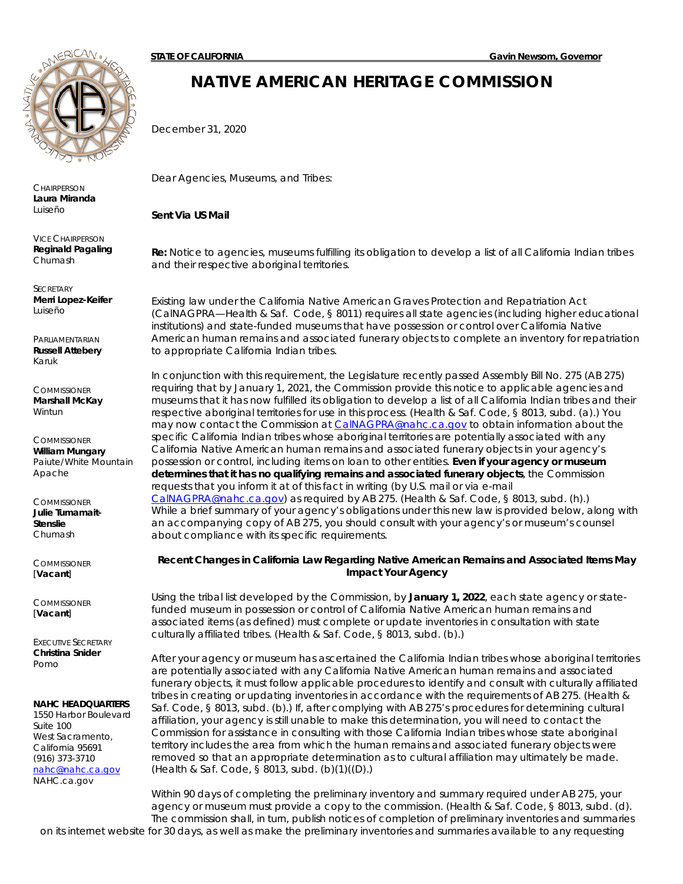**CHAIRPERSON Laura Miranda** *Luiseño*

VICE CHAIRPERSON **Reginald Pagaling** *Chumash*

**SECRETARY Merri Lopez-Keifer** *Luiseño*

PARLIAMENTARIAN **Russell Attebery** *Karuk*

**COMMISSIONER Marshall McKay** *Wintun*

**COMMISSIONER William Mungary** *Paiute/White Mountain Apache*

**COMMISSIONER Julie Tumamait-Stenslie** *Chumash*

**COMMISSIONER** [**Vacant**]

**COMMISSIONER** [**Vacant**]

EXECUTIVE SECRETARY **Christina Snider** *Pomo*

## **NAHC HEADQUARTERS**

1550 Harbor Boulevard Suite 100 West Sacramento, California 95691 (916) 373-3710 [nahc@nahc.ca.gov](mailto:nahc@nahc.ca.gov) NAHC.ca.gov

## **NATIVE AMERICAN HERITAGE COMMISSION**

December 31, 2020

Dear Agencies, Museums, and Tribes:

*Sent Via US Mail*

**Re:** Notice to agencies, museums fulfilling its obligation to develop a list of all California Indian tribes and their respective aboriginal territories.

Existing law under the California Native American Graves Protection and Repatriation Act (CalNAGPRA—Health & Saf. Code, § 8011) requires all state agencies (including higher educational institutions) and state-funded museums that have possession or control over California Native American human remains and associated funerary objects to complete an inventory for repatriation to appropriate California Indian tribes.

In conjunction with this requirement, the Legislature recently passed Assembly Bill No. 275 (AB 275) requiring that by January 1, 2021, the Commission provide this notice to applicable agencies and museums that it has now fulfilled its obligation to develop a list of all California Indian tribes and their respective aboriginal territories for use in this process. (Health & Saf. Code, § 8013, subd. (a).) You may now contact the Commission at [CalNAGPRA@nahc.ca.gov](mailto:CalNAGPRA@nahc.ca.gov) to obtain information about the specific California Indian tribes whose aboriginal territories are potentially associated with any California Native American human remains and associated funerary objects in your agency's possession or control, including items on loan to other entities. **Even if your agency or museum determines that it has no qualifying remains and associated funerary objects**, the Commission requests that you inform it at of this fact in writing (by U.S. mail or via e-mail [CalNAGPRA@nahc.ca.gov\)](mailto:CalNAGPRA@nahc.ca.gov) as required by AB 275. (Health & Saf. Code, § 8013, subd. (h).) While a brief summary of your agency's obligations under this new law is provided below, along with an accompanying copy of AB 275, you should consult with your agency's or museum's counsel about compliance with its specific requirements.

## **Recent Changes in California Law Regarding Native American Remains and Associated Items May Impact Your Agency**

Using the tribal list developed by the Commission, by **January 1, 2022**, each state agency or statefunded museum in possession or control of California Native American human remains and associated items (as defined) must complete or update inventories in consultation with state culturally affiliated tribes. (Health & Saf. Code, § 8013, subd. (b).)

After your agency or museum has ascertained the California Indian tribes whose aboriginal territories are potentially associated with any California Native American human remains and associated funerary objects, it must follow applicable procedures to identify and consult with culturally affiliated tribes in creating or updating inventories in accordance with the requirements of AB 275. (Health & Saf. Code, § 8013, subd. (b).) If, after complying with AB 275's procedures for determining cultural affiliation, your agency is still unable to make this determination, you will need to contact the Commission for assistance in consulting with those California Indian tribes whose state aboriginal territory includes the area from which the human remains and associated funerary objects were removed so that an appropriate determination as to cultural affiliation may ultimately be made. (Health & Saf. Code, § 8013, subd. (b)(1)((D).)

Within 90 days of completing the preliminary inventory and summary required under AB 275, your agency or museum must provide a copy to the commission. (Health & Saf. Code, § 8013, subd. (d). The commission shall, in turn, publish notices of completion of preliminary inventories and summaries on its internet website for 30 days, as well as make the preliminary inventories and summaries available to any requesting